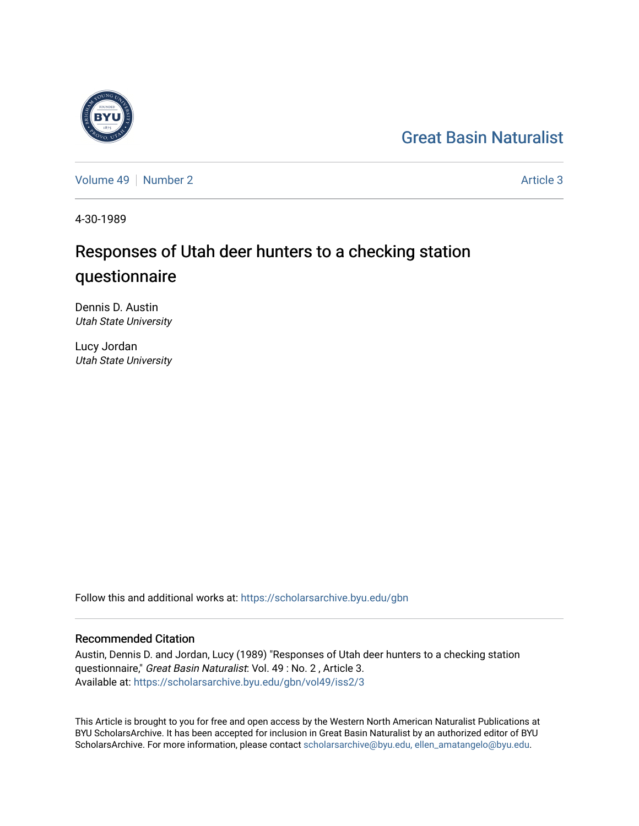## [Great Basin Naturalist](https://scholarsarchive.byu.edu/gbn)

[Volume 49](https://scholarsarchive.byu.edu/gbn/vol49) [Number 2](https://scholarsarchive.byu.edu/gbn/vol49/iss2) Article 3

4-30-1989

# Responses of Utah deer hunters to a checking station questionnaire

Dennis D. Austin Utah State University

Lucy Jordan Utah State University

Follow this and additional works at: [https://scholarsarchive.byu.edu/gbn](https://scholarsarchive.byu.edu/gbn?utm_source=scholarsarchive.byu.edu%2Fgbn%2Fvol49%2Fiss2%2F3&utm_medium=PDF&utm_campaign=PDFCoverPages) 

### Recommended Citation

Austin, Dennis D. and Jordan, Lucy (1989) "Responses of Utah deer hunters to a checking station questionnaire," Great Basin Naturalist: Vol. 49 : No. 2 , Article 3. Available at: [https://scholarsarchive.byu.edu/gbn/vol49/iss2/3](https://scholarsarchive.byu.edu/gbn/vol49/iss2/3?utm_source=scholarsarchive.byu.edu%2Fgbn%2Fvol49%2Fiss2%2F3&utm_medium=PDF&utm_campaign=PDFCoverPages)

This Article is brought to you for free and open access by the Western North American Naturalist Publications at BYU ScholarsArchive. It has been accepted for inclusion in Great Basin Naturalist by an authorized editor of BYU ScholarsArchive. For more information, please contact [scholarsarchive@byu.edu, ellen\\_amatangelo@byu.edu.](mailto:scholarsarchive@byu.edu,%20ellen_amatangelo@byu.edu)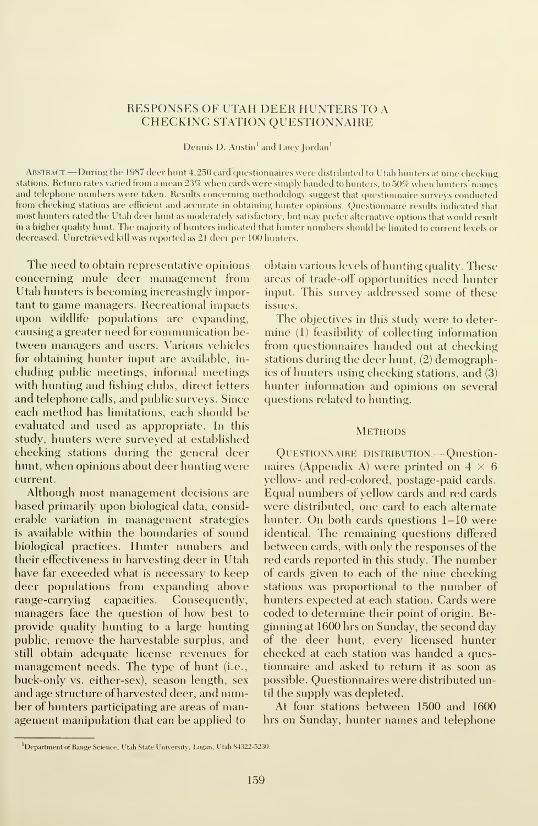#### RESPONSES OF UTAH DEER HUNTERS TO A CHECKING STATION QUESTIONNAIRE

Dennis D. Austin<sup>1</sup> and Lucy Jordan<sup>1</sup>

Abstract —During the <sup>1987</sup> deer hunt 4,250 card questionnaires were distributed to Utah hunters at nine checking stations. Return rates varied from <sup>a</sup> mean 23% when cards were simply handed to hunters, to 50% when hunters' names and telephone numbers were taken. Results concerning methodology suggest that questionnaire surveys conducted from cheeking stations are efficient anil accurate in obtaining hunter opinions. Questionnaire results indicated that most hunters rated the Utah deer hunt as moderately satisfactory, but may prefer alternative options that would result in <sup>a</sup> higher quality hunt. The majority of hunters indicated that hunter numbers should be limited to current levels or decreased. Unretrieved kill was reported as 21 deer per 100 hunters.

The need to obtain representative opinions concerning mule deer management from Utah hunters is becoming increasingly important to game managers. Recreational impacts upon wildlife populations are expanding, causing a greater need for communication between managers and users. Various vehicles for obtaining hunter input are available, in cluding public meetings, informal meetings with hunting and fishing clubs, direct letters and telephone calls, and public surveys. Since each method has limitations, each should be evaluated and used as appropriate. In this study, hunters were surveyed at established checking stations during the general deer hunt, when opinions about deer hunting were current.

Although most management decisions are based primarily upon biological data, considerable variation in management strategies is available within the boundaries of sound biological practices. Hunter numbers and their effectiveness in harvesting deer in Utah have far exceeded what is necessary to keep deer populations from expanding above range-carrying capacities. Consequently, managers face the question of how best to provide quality hunting to a large hunting public, remove the harvestable surplus, and still obtain adequate license revenues for management needs. The type of hunt (i.e., buck-only vs. either-sex), season length, sex and age structure of harvested deer, and number of hunters participating are areas of management manipulation that can be applied to

obtain various levels of hunting quality. These areas of trade-off opportunities need hunter input. This survey addressed some of these issues.

The objectives in this study were to deter mine (1) feasibility of collecting information from questionnaires handed out at checking stations during the deer hunt, (2) demographics of hunters using checking stations, and (3) hunter information and opinions on several questions related to hunting.

#### **METHODS**

QUESTIONNAIRE DISTRIBUTION. - Questionnaires (Appendix A) were printed on  $4 \times 6$ yellow- and red-colored, postage-paid cards. Equal numbers of yellow cards and red cards were distributed, one card to each alternate hunter. On both cards questions 1-10 were identical. The remaining questions differed between cards, with only the responses of the red cards reported in this study. The number of cards given to each of the nine checking stations was proportional to the number of hunters expected at each station. Cards were coded to determine their point of origin. Beginning at 1600 hrs on Sunday, the second day of the deer hunt, every licensed hunter checked at each station was handed a questionnaire and asked to return it as soon as possible. Questionnaires were distributed until the supply was depleted.

At four stations between 1500 and 1600 hrs on Sunday, hunter names and telephone

<sup>&#</sup>x27;Department of Range Science. Utah State University, Logan, Utah 84322-5230.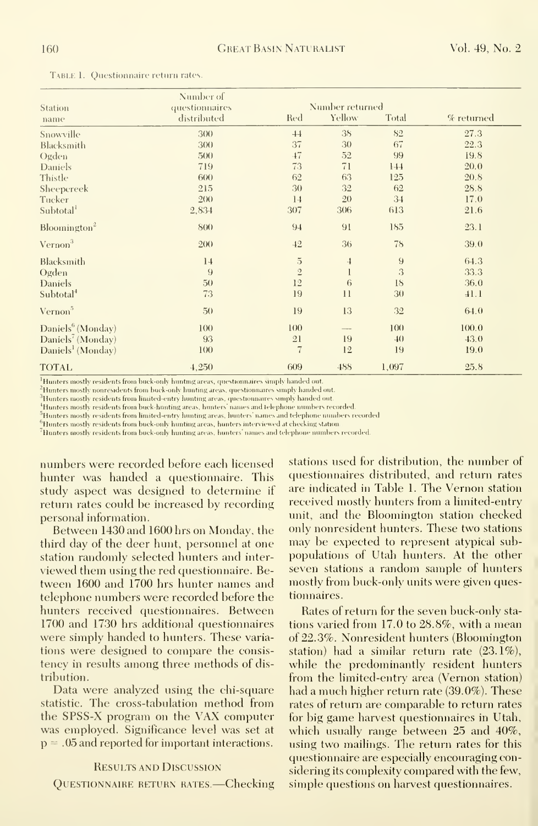Table 1. Questionnaire return rates.

| <b>Station</b>                | Number of<br>questionnaires |                          | Number returned |                  |            |
|-------------------------------|-----------------------------|--------------------------|-----------------|------------------|------------|
| name                          | distributed                 | Red                      | Yellow          | Total            | % returned |
| Snowville                     | 300                         | 44                       | 38              | 82               | 27.3       |
| Blacksmith                    | 300                         | 37                       | 30              | 67               | 22.3       |
| Ogden                         | 500                         | $-47$                    | 52              | 99               | 19.8       |
| <b>Daniels</b>                | 719                         | 73                       | 71              | 144              | 20.0       |
| Thistle                       | 600                         | 62                       | 63              | 125              | 20.8       |
| Sheepcreek                    | 215                         | 30                       | 32              | 62               | 28.8       |
| Tucker                        | 200                         | 14                       | 20              | 34               | 17.0       |
| Subtotal                      | 2,834                       | 307                      | 306             | 613              | 21.6       |
| Bloomington <sup>2</sup>      | 800                         | 94                       | 91              | 185              | 23.1       |
| Vernon <sup>3</sup>           | 200                         | 42                       | 36              | 78               | 39.0       |
| Blacksmith                    | 14                          | $\overline{5}$           | $\overline{4}$  | $\boldsymbol{9}$ | 64.3       |
| Ogden                         | 9                           | $\overline{2}$           | $\mathbf{l}$    | 3                | 33.3       |
| Daniels                       | 50                          | 12                       | 6               | 18               | 36.0       |
| Subtotal <sup>4</sup>         | 73                          | 19                       | 11              | 30               | 41.1       |
| Vernon <sup>5</sup>           | 50 <sub>0</sub>             | 19                       | 13              | 32               | 64.0       |
| Daniels <sup>6</sup> (Monday) | 100                         | 100                      | $-\!$           | 100              | 100.0      |
| Daniels <sup>7</sup> (Monday) | 93                          | 21                       | 19              | 40               | 43.0       |
| Daniels <sup>1</sup> (Monday) | 100                         | $\overline{\mathcal{U}}$ | 12              | 19               | 19.0       |
| <b>TOTAL</b>                  | 4,250                       | 609                      | 488             | 1,097            | 25.8       |

 $^{\rm l}$ Hunters mostly residents from buck-only hunting areas, questionnaires simply handed out.

<sup>2</sup>Hunters mostly nonresidents from buck-only hunting areas, questionnaires simply handed out.

 $^3$  Hunters mostly residents from limited-entry hunting areas, questionnaires simply handed out.  $^4\!H$  unters mostly residents from buck-hunting areas, hunters names and telephone numbers recorded.

 $^5\rm H$ unters mostly residents from limited-entry hunting areas, hunters' names and telephone numbers recorded

 $^6$ Hunters mostly residents from buck-only hunting areas, hunters interviewed at checking station

<sup>7</sup>Hnnters mostly residents from buck-only hunting areas, hunters' names and telephone numbers recorded.

numbers were recorded before each licensed hunter was handed a questionnaire. This study aspect was designed to determine if return rates could be increased by recording personal information.

Between 1430 and 1600 hrs on Monday, the third day of the deer hunt, personnel at one station randomly selected hunters and interviewed them using the red questionnaire. Between 1600 and 1700 hrs hunter names and telephone numbers were recorded before the hunters received questionnaires. Between 1700 and 1730 hrs additional questionnaires were simply handed to hunters. These variations were designed to compare the consistency in results among three methods of distribution.

Data were analyzed using the chi-square statistic. The cross-tabulation method from the SPSS-X program on the VAX computer was employed. Significance level was set at  $p = 0.05$  and reported for important interactions.

#### **RESULTS AND DISCUSSION**

QUESTIONNAIRE RETURN RATES.-Checking

stations used for distribution, the number of questionnaires distributed, and return rates are indicated in Table 1. The Vernon station received mostly hunters from a limited-entry unit, and the Bloomington station checked only nonresident hunters. These two stations may be expected to represent atypical subpopulations of Utah hunters. At the other seven stations a random sample of hunters mostly from buck-only units were given questionnaires.

Rates of return for the seven buck-only stations varied from 17.0 to 28.8%, with a mean of 22.3%. Nonresident hunters (Bloomington station) had a similar return rate  $(23.1\%)$ , while the predominantly resident hunters from the limited-entry area (Vernon station) had a much higher return rate (39.0%). These rates of return are comparable to return rates for big game harvest question naires in Utah, which usually range between 25 and 40%, using two mailings. The return rates for this questionnaire are especially encouraging considering its complexity compared with the few, simple questions on harvest questionnaires.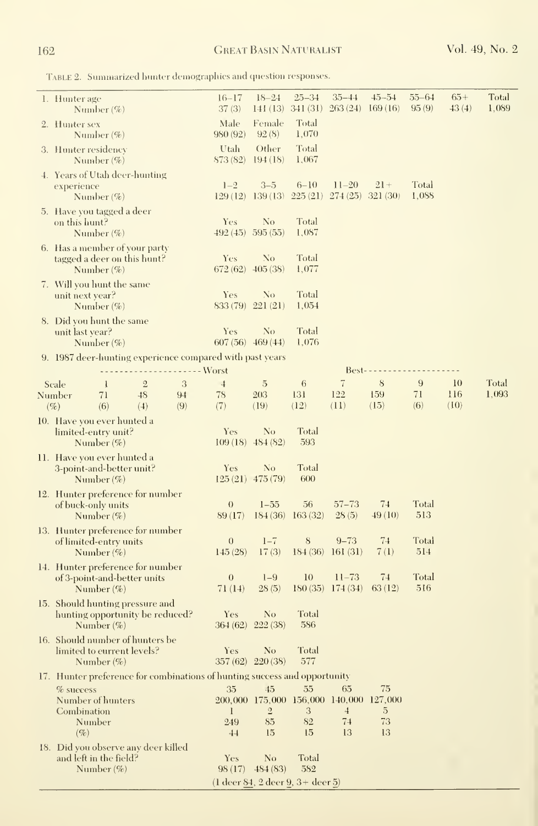Table 2. Summarized hunter demographics and question responses.

| 1. Hunter age<br>Number $(\%)$                                                      |                |                      | $16 - 17$<br>37(3)          | $18 - 24$<br>141(13)                                            | $25 - 34$<br>341(31)    | $35 - 44$<br>263(24)              | $-15 - 54$<br>169(16) | $55 - 64$<br>95(9)  | $65+$<br>43(4) | Total<br>1,089 |
|-------------------------------------------------------------------------------------|----------------|----------------------|-----------------------------|-----------------------------------------------------------------|-------------------------|-----------------------------------|-----------------------|---------------------|----------------|----------------|
| 2. Hunter sex<br>Number $(\%)$                                                      |                |                      | Male<br>980 (92)            | Female<br>92(8)                                                 | Total<br>1,070          |                                   |                       |                     |                |                |
| 3. Hunter residency<br>Number $(\% )$                                               |                |                      | Utah<br>873 (82)            | Other<br>194(18)                                                | Total<br>1.067          |                                   |                       |                     |                |                |
| 4. Years of Utah deer-hunting<br>experience<br>Number $(\%)$                        |                |                      | $1 - 2$<br>129(12)          | $3 - 5$<br>139(13)                                              | $6 - 10$<br>225(21)     | $11 - 20$<br>274(25)              | $21 +$<br>321(30)     | Total<br>1,088      |                |                |
| 5. Have you tagged a deer<br>on this hunt?<br>Number $(\% )$                        |                |                      | Yes                         | No<br>$492(45)$ 595 (55)                                        | Total<br>1,087          |                                   |                       |                     |                |                |
| 6. Has a member of your party<br>tagged a deer on this hunt?<br>Number $(\%)$       |                |                      | Yes<br>672(62)              | No<br>$-405(38)$                                                | Total<br>1,077          |                                   |                       |                     |                |                |
| 7. Will you hunt the same<br>unit next year?<br>Number $(\%)$                       |                |                      | Yes<br>833 (79)             | No<br>221(21)                                                   | Total<br>1,054          |                                   |                       |                     |                |                |
| 8. Did you hunt the same<br>unit last year?<br>Number $(\%)$                        |                |                      | Yes                         | No<br>$607(56)$ 469 (44)                                        | <b>Total</b><br>1,076   |                                   |                       |                     |                |                |
| 9. 1987 deer-hunting experience compared with past years                            |                |                      |                             |                                                                 |                         |                                   |                       |                     |                |                |
| Scale<br>1                                                                          | $\overline{2}$ | --------- Worst<br>3 | $\overline{1}$              | $\overline{5}$                                                  | 6                       | $Best---$<br>7                    | 8                     | 9                   | 10             | Total          |
| 71<br>Number<br>(6)<br>$(\%)$                                                       | 48<br>(4)      | 94<br>(9)            | 78<br>(7)                   | 203<br>(19)                                                     | 131<br>(12)             | 122<br>(11)                       | 159<br>(15)           | 71<br>(6)           | 116<br>(10)    | 1,093          |
| 10. Have you ever hunted a<br>limited-entry unit?<br>Number $(\%)$                  |                |                      | Yes                         | No<br>$109(18)$ 484 (82)                                        | Total<br>593            |                                   |                       |                     |                |                |
| 11.  Have you ever hunted a<br>3-point-and-better unit?<br>Number $(\%)$            |                |                      | Yes                         | No<br>$125(21)$ 475 (79)                                        | Total<br>600            |                                   |                       |                     |                |                |
| 12. Hunter preference for number<br>of buck-only units<br>Number $(\%)$             |                |                      | $\theta$<br>89 (17)         | $1 - 55$                                                        | 56<br>$184(36)$ 163(32) | $57 - 73$<br>28(5)                | 74<br>49(10)          | Total<br>513        |                |                |
| 13. Hunter preference for number<br>of limited-entry units<br>Number $(\%)$         |                |                      | $\boldsymbol{0}$<br>145(28) | $1 - 7$<br>17(3)                                                | 8                       | $9 - 73$<br>$184(36)$ 161(31)     | 74<br>7(1)            | Total<br>514        |                |                |
| 14. Hunter preference for number<br>of 3-point-and-better units<br>Number $(\%)$    |                |                      | $\boldsymbol{0}$<br>71 (14) | $1-9$<br>28(5)                                                  | 10                      | $11 - 73$<br>$180(35)$ 174 $(34)$ | 74<br>63(12)          | <b>Total</b><br>516 |                |                |
| 15. Should hunting pressure and<br>hunting opportunity be reduced?<br>Number $(\%)$ |                |                      | Yes                         | N <sub>o</sub><br>364 (62) 222 (38)                             | Total<br>586            |                                   |                       |                     |                |                |
| 16. Should number of hunters be<br>limited to eurrent levels?<br>Number $(\%)$      |                |                      | Yes                         | N <sub>o</sub><br>$357(62)$ 220(38)                             | Total<br>577            |                                   |                       |                     |                |                |
| 17. Hunter preference for combinations of hunting success and opportunity           |                |                      |                             |                                                                 |                         |                                   |                       |                     |                |                |
| $%$ success<br>Number of hunters<br>Combination                                     |                |                      | 35<br>1                     | 45<br>200.000 175.000 156.000 140.000 127.000<br>$\overline{2}$ | 55<br>3                 | 65<br>$\overline{4}$              | 75<br>5               |                     |                |                |
| Number<br>$(\%)$                                                                    |                |                      | 249<br>44                   | 85<br>15                                                        | 82<br>15                | 74<br>13                          | 73<br>13              |                     |                |                |
| 18. Did you observe any deer killed<br>and left in the field?<br>Number $(\%)$      |                |                      | Yes                         | No<br>$98(17)$ $484(83)$                                        | Total<br>582            |                                   |                       |                     |                |                |
|                                                                                     |                |                      |                             | (1 deer 84, 2 deer 9, 3+ deer 5)                                |                         |                                   |                       |                     |                |                |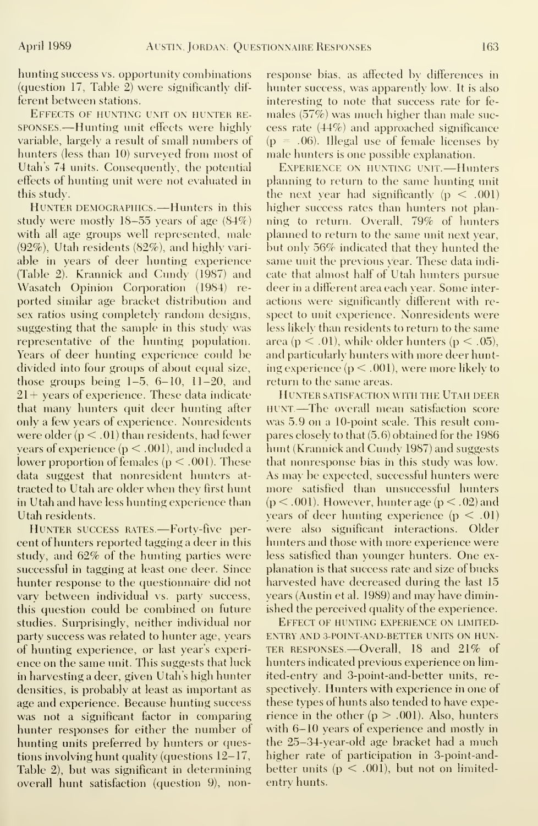hunting success vs. opportunity combinations (question 17, Table 2) were significantly dif ferent between stations.

Effects of hunting unit on hunter re sponses.—Hunting unit effects were highly variable, largely a result of small numbers of hunters (less than 10) surveyed from most of Utah's 74 units. Consequently, the potential effects of hunting unit were not evaluated in this study.

HUNTER DEMOGRAPHICS. -- Hunters in this study were mostly 18-55 years of age (84%) with all age groups well represented, male (92%), Utah residents (82%), and highly vari able in years of deer hunting experience (Table 2). Krannick and Cundy (1987) and Wasatch Opinion Corporation (1984) re ported similar age bracket distribution and sex ratios using completely random designs, suggesting that the sample in this study was representative of the hunting population. Years of deer hunting experience could be divided into four groups of about equal size, those groups being 1-5, 6-10, 11-20, and 21+ years of experience. These data indicate that many hunters quit deer hunting after only a few years of experience. Nonresidents were older  $(p < .01)$  than residents, had fewer years of experience ( $p < .001$ ), and included a lower proportion of females ( $p < .001$ ). These data suggest that nonresident hunters at tracted to Utah are older when they first hunt in Utah and have less hunting experience than Utah residents.

HUNTER SUCCESS RATES.—Forty-five percent of hunters reported tagging a deer in this study, and 62% of the hunting parties were successful in tagging at least one deer. Since hunter response to the questionnaire did not vary between individual vs. party success, this question could be combined on future studies. Surprisingly, neither individual nor party success was related to hunter age, years of hunting experience, or last year's experi ence on the same unit. This suggests that luck in harvesting a deer, given Utah's high hunter densities, is probably at least as important as age and experience. Because hunting success was not a significant factor in comparing hunter responses for either the number of hunting units preferred by hunters or questions involving hunt quality (questions 12-17, Table 2), but was significant in determining overall hunt satisfaction (question 9), nonresponse bias, as affected by differences in hunter success, was apparently low. It is also interesting to note that success rate for fe males (57%) was much higher than male suc cess rate (44%) and approached significance  $(p = .06)$ . Illegal use of female licenses by male hunters is one possible explanation.

Experience on hunting unit. —Hunters planning to return to the same hunting unit the next year had significantly  $(p < .001)$ higher success rates than hunters not planning to return. Overall, 79% of hunters planned to return to the same unit next year, but only 56% indicated that they hunted the same unit the previous year. These data indi cate that almost half of Utah hunters pursue deer in a different area each year. Some inter actions were significantly different with re spect to unit experience. Nonresidents were less likely than residents to return to the same area ( $p < .01$ ), while older hunters ( $p < .05$ ), and particularly hunters with more deer hunting experience ( $p < .001$ ), were more likely to return to the same areas.

Hunter satisfaction with the Utah deer HUNT.—The overall mean satisfaction score was 5.9 on a 10-point scale. This result compares closely to that (5.6) obtained for the 1986 hunt (Krannick and Cundy 1987) and suggests that nonresponse bias in this study was low. As may be expected, successful hunters were more satisfied than unsuccessful hunters  $(p < .001)$ . However, hunter age  $(p < .02)$  and years of deer hunting experience  $(p < .01)$ were also significant interactions. Older hunters and those with more experience were less satisfied than younger hunters. One ex planation is that success rate and size of bucks harvested have decreased during the last 15 years (Austin et al. 1989) and may have diminished the perceived quality of the experience.

Effect of hunting experience on limitedentry AND 3-POINT-AND-BETTER UNITS ON HUN-TER responses.—Overall, <sup>18</sup> and 21% of hunters indicated previous experience on lim ited-entry and 3-point-and-better units, re spectively. Hunters with experience in one of these types of hunts also tended to have experience in the other  $(p > .001)$ . Also, hunters with 6-10 years of experience and mostly in the 25-34-year-old age bracket had a much higher rate of participation in 3-point-andbetter units  $(p < .001)$ , but not on limitedentry hunts.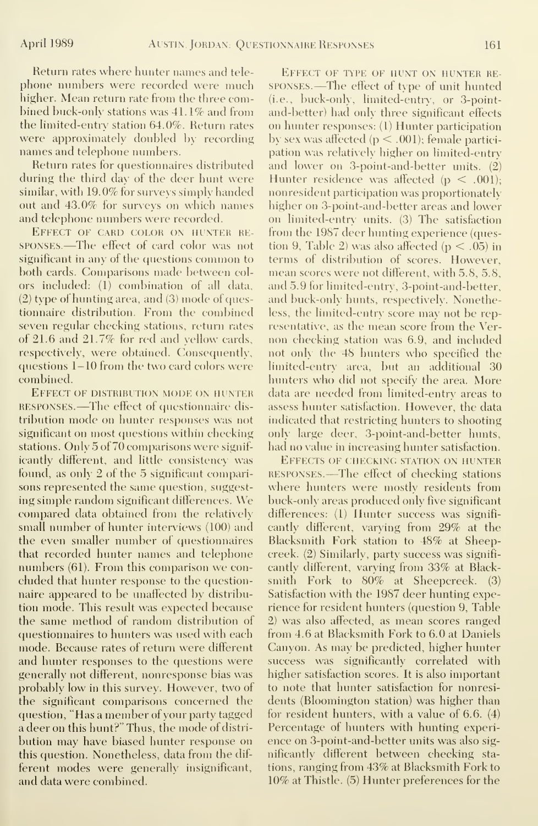Return rates where hunter names and tele phone numbers were recorded were much higher. Mean return rate from the three combined buck-only stations was 41.1% and from the limited-entry station 64.0%. Return rates were approximately doubled by recording names and telephone numbers.

Return rates for questionnaires distributed during the third day of the deer hunt were similar, with 19.0% for surveys simply handed out and 43.0% for surveys on which names and telephone numbers were recorded.

Effect of card color on hunter re sponses.—The effect of card color was not significant in any of the questions common to both cards. Comparisons made between col ors included: (1) combination of all data, (2) type of hunting area, and (3) mode of questionnaire distribution. From the combined seven regular checking stations, return rates of 21.6 and 21.7% for red and yellow cards, respectively, were obtained. Consequently, questions 1-10 from the two card colors were combined.

Effect of distribution mode on hunter RESPONSES. —The effect of questionnaire dis tribution mode on hunter responses was not significant on most questions within checking stations. Only 5 of 70 comparisons were significantly different, and little consistency was found, as only 2 of the 5 significant comparisons represented the same question, suggesting simple random significant differences. We compared data obtained from the relatively small number of hunter interviews (100) and the even smaller number of questionnaires that recorded hunter names and telephone numbers (61). From this comparison we con cluded that hunter response to the questionnaire appeared to be unaffected by distribution mode. This result was expected because the same method of random distribution of questionnaires to hunters was used with each mode. Because rates of return were different and hunter responses to the questions were generally not different, nonresponse bias was probably low in this survey. However, two of the significant comparisons concerned the question, "Has <sup>a</sup> member of your party tagged <sup>a</sup> deer on this hunt?" Thus, the mode of distri bution may have biased hunter response on this question. Nonetheless, data from the dif ferent modes were generally insignificant, and data were combined.

Effect of type of hunt on hunter re sponses. —The effect of type of unit hunted (i.e., buck-only, limited-entry, or 3-pointand-better) had only three significant effects on hunter responses: (1) Hunter participation by sex was affected  $(p < .001)$ ; female participation was relatively higher on limited-entry and lower on 3-point-and-better units. (2) Hunter residence was affected  $(p < .001)$ ; nonresident participation was proportionately higher on 3-point-and-better areas and lower on limited-entry units. (3) The satisfaction from the 1987 deer hunting experience (question 9, Table 2) was also affected ( $p < .05$ ) in terms of distribution of scores. However, mean scores were not different, with 5.8, 5.8, and 5.9 for limited-entry, 3-point-and-better, and buck-only hunts, respectively. Nonetheless, the limited-entry score may not be representative, as the mean score from the Ver non checking station was 6.9, and included not only the 48 hunters who specified the limited-entry area, but an additional 30 hunters who did not specify the area. More data are needed from limited-entry areas to assess hunter satisfaction. However, the data indicated that restricting hunters to shooting only large deer, 3-point-and-better hunts, had no value in increasing hunter satisfaction.

Effects of checking station on hunter responses. —The effect of checking stations where hunters were mostly residents from buck-only areas produced only five significant differences: (1) Hunter success was significantly different, varying from 29% at the Blacksmith Fork station to 48% at Sheepcreek. (2) Similarly, party success was significantly different, varying from 33% at Blacksmith Fork to 80% at Sheepcreek. (3) Satisfaction with the 1987 deer hunting experience for resident hunters (question 9, Table 2) was also affected, as mean scores ranged from 4.6 at Blacksmith Fork to 6.0 at Daniels Canyon. As may be predicted, higher hunter success was significantly correlated with higher satisfaction scores. It is also important to note that hunter satisfaction for nonresidents (Bloomington station) was higher than for resident hunters, with a value of 6.6. (4) Percentage of hunters with hunting experi ence on 3-point-and-better units was also significantly different between checking sta tions, ranging from 43% at Blacksmith Fork to 10% at Thistle. (5) Hunter preferences for the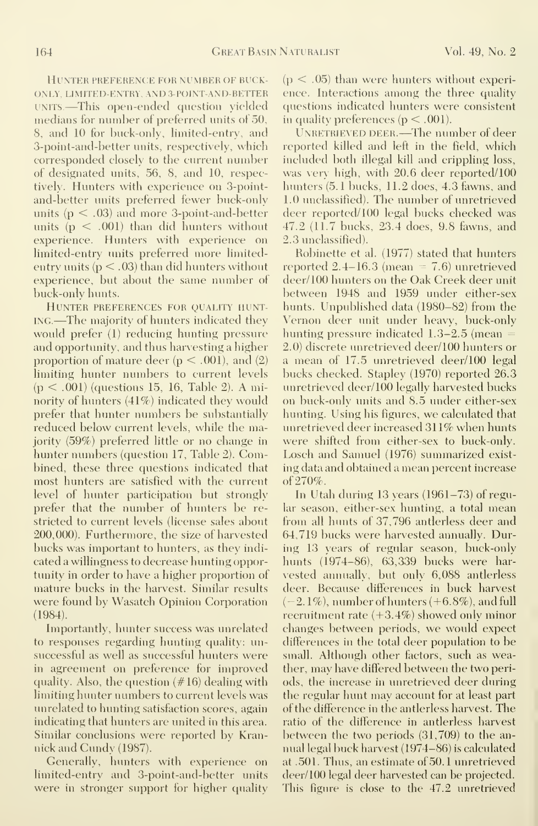Hunter preference for numrer of ruckonly, LIMITED-ENTRY, AND 3-POINT-AND-RETTER UNITS.—This open-ended question yielded medians for number of preferred units of 50, 8, and 10 for buck-only, limited-entry, and 3-point-and-better units, respectively, which corresponded closely to the current number of designated units, 56, 8, and 10, respectively. Hunters with experience on 3-pointand-better units preferred fewer buck-only units  $(p < .03)$  and more 3-point-and-better units  $(p < .001)$  than did hunters without experience. Hunters with experience on limited-entry units preferred more limitedentry units  $(p < .03)$  than did hunters without experience, but about the same number of buck-only hunts.

Hunter preferences for quality hunting.—The majority of hunters indicated they would prefer (1) reducing hunting pressure and opportunity, and thus harvesting a higher proportion of mature deer  $(p < .001)$ , and  $(2)$ limiting hunter numbers to current levels  $(p < .001)$  (questions 15, 16, Table 2). A minority of hunters (41%) indicated they would prefer that hunter numbers be substantially reduced below current levels, while the majority (59%) preferred little or no change in hunter numbers (question 17, Table 2). Combined, these three questions indicated that most hunters are satisfied with the current level of hunter participation but strongly prefer that the number of hunters be re stricted to current levels (license sales about 200,000). Furthermore, the size of harvested bucks was important to hunters, as they indi cated a willingness to decrease hunting opportunity in order to have a higher proportion of mature bucks in the harvest. Similar results were found by Wasatch Opinion Corporation (1984).

Importantly, hunter success was unrelated to responses regarding hunting quality: unsuccessful as well as successful hunters were in agreement on preference for improved quality. Also, the question (#16) dealing with limiting hunter numbers to current levels was unrelated to hunting satisfaction scores, again indicating that hunters are united in this area. Similar conclusions were reported by Krannick and Cundy (1987).

Generally, hunters with experience on limited-entry and 3-point-and-better units were in stronger support for higher quality  $(p < .05)$  than were hunters without experience. Interactions among the three quality questions indicated hunters were consistent in quality preferences ( $p < .001$ ).

UNRETRIEVED DEER. - The number of deer reported killed and left in the field, which included both illegal kill and crippling loss, was very high, with 20.6 deer reported/100 hunters (5.1 bucks, 11.2 does, 4.3 fawns, and 1.0 unclassified). The number of unretrieved deer reported/ 100 legal bucks checked was 47.2 (11.7 bucks, 23.4 does, 9.8 fawns, and 2.3 unclassified).

Robinette et al. (1977) stated that hunters reported  $2.4-16.3$  (mean = 7.6) unretrieved deer/ 100 hunters on the Oak Creek deer unit between 1948 and 1959 under either-sex hunts. Unpublished data (1980-82) from the Vernon deer unit under heavy, buck-only hunting pressure indicated  $1.3-2.5$  (mean  $=$ 2.0) discrete unretrieved deer/100 hunters or a mean of 17.5 unretrieved deer/100 legal bucks checked. Stapley (1970) reported 26.3 unretrieved deer/100 legally harvested bucks on buck-only units and 8.5 under either-sex hunting. Using his figures, we calculated that unretrieved deer increased 311% when hunts were shifted from either-sex to buck-only. Losch and Samuel (1976) summarized exist ing data and obtained a mean percent increase of 270%.

In Utah during 13 years (1961-73) of regular season, either-sex hunting, a total mean from all hunts of 37,796 antlerless deer and 64,719 bucks were harvested annually. During 13 years of regular season, buck-only hunts (1974-86), 63,339 bucks were har vested annually, but only 6,088 antlerless deer. Because differences in buck harvest  $(-2.1\%)$ , number of hunters  $(+6.8\%)$ , and full recruitment rate (+3.4%) showed only minor changes between periods, we would expect differences in the total deer population to be small. Although other factors, such as weather, may have differed between the two periods, the increase in unretrieved deer during the regular hunt may account for at least part of the difference in the antlerless harvest. The ratio of the difference in antlerless harvest between the two periods (31,709) to the an nual legal buck harvest (1974-86) is calculated at .501. Thus, an estimate of 50. <sup>1</sup> unretrieved deer/100 legal deer harvested can be projected. This figure is close to the 47.2 unretrieved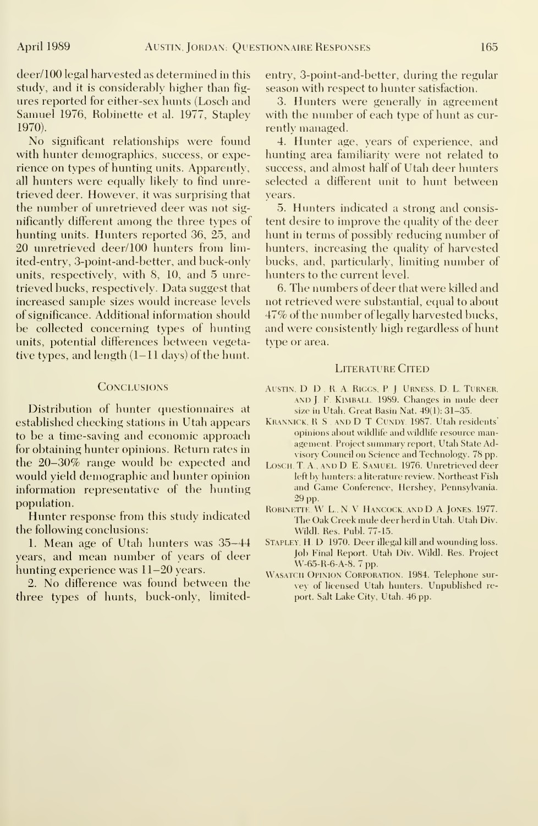deer/100 legal harvested as determined in this study, and it is considerably higher than fig ures reported for either-sex hunts (Losch and Samuel 1976, Robinette et al. 1977, Staplev 1970).

No significant relationships were found with hunter demographics, success, or experience on types of hunting units. Apparently, all hunters were equally likely to find unretrieved deer. However, it was surprising that the number of unretrieved deer was not significantly different among the three types of hunting units. Hunters reported 36, 25, and 20 unretrieved deer/100 hunters from limited-entry, 3-point-and-better, and buck-only units, respectively, with 8, 10, and 5 unretrieved bucks, respectively. Data suggest that increased sample sizes would increase levels of significance. Additional information should be collected concerning types of hunting units, potential differences between vegetative types, and length (1-11 days) of the hunt.

#### **CONCLUSIONS**

Distribution of hunter questionnaires at established checking stations in Utah appears to be a time-saving and economic approach for obtaining hunter opinions. Return rates in the 20-30% range would be expected and would yield demographic and hunter opinion information representative of the hunting population.

Hunter response from this study indicated the following conclusions:

1. Mean age of Utah hunters was 35-44 years, and mean number of years of deer hunting experience was 11-20 years.

2. No difference was found between the three types of hunts, buck-only, limitedentry, 3-point-and-better, during the regular season with respect to hunter satisfaction.

3. Hunters were generally in agreement with the number of each type of hunt as cur rently managed.

4. Hunter age, years of experience, and hunting area familiarity were not related to success, and almost half of Utah deer hunters selected a different unit to hunt between years.

5. Hunters indicated a strong and consis tent desire to improve the quality of the deer hunt in terms of possibly reducing number of hunters, increasing the quality of harvested bucks, and, particularly, limiting number of hunters to the current level.

6. The numbers of deer that were killed and not retrieved were substantial, equal to about 47% of the number of legally harvested bucks, and were consistently high regardless of hunt type or area.

#### LITERATURE CITED

- AUSTIN, D. D., R. A. RIGGS, P. J. URNESS, D. L. TURNER, AND J. F. KIMBALL. 1989. Changes in mule deer size in Utah. Great Basin Nat. 49(1): 31-35.
- Krannick, R. S ., and D. T. Cundy. 1987. Utah residents' opinions about wildlife and wildlife resource management. Project summary report, Utah State Advisory Council on Science and Technology. 78 pp.
- LOSCH, T. A., AND D. E. SAMUEL 1976. Unretrieved deer left by hunters: a literature review. Northeast Fish and Game Conference, Hershey, Pennsylvania. 29 pp.
- ROBINETTE, W. L., N. V. HANCOCK, AND D. A. JONES. 1977. The Oak Creek mule deer herd in Utah. Utah Div. Wildl. Res. Publ. 77-15.
- STAPLEY, H. D. 1970. Deer illegal kill and wounding loss. Job Final Report. Utah Div. Wildl. Res. Project W-65-R-6-A-8. 7 pp.
- WASATCH OPINION CORPORATION. 1984. Telephone survey of licensed Utah hunters. Unpublished report. Salt Lake City, Utah. 46 pp.